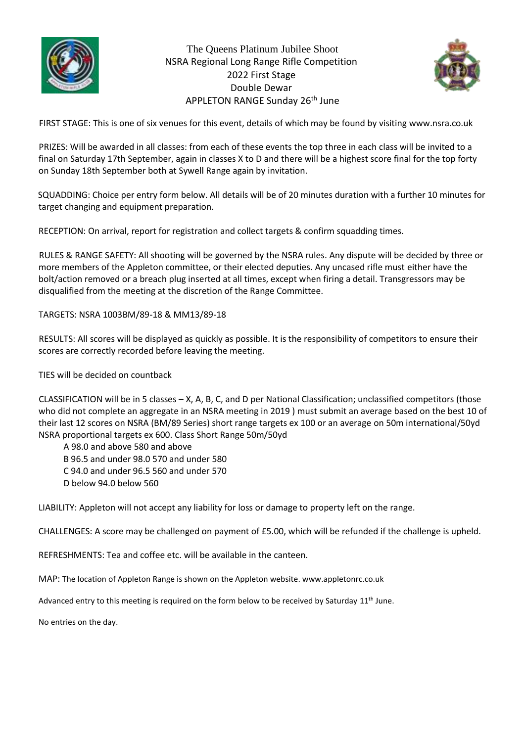

The Queens Platinum Jubilee Shoot NSRA Regional Long Range Rifle Competition 2022 First Stage Double Dewar APPLETON RANGE Sunday 26<sup>th</sup> June



FIRST STAGE: This is one of six venues for this event, details of which may be found by visiting www.nsra.co.uk

PRIZES: Will be awarded in all classes: from each of these events the top three in each class will be invited to a final on Saturday 17th September, again in classes X to D and there will be a highest score final for the top forty on Sunday 18th September both at Sywell Range again by invitation.

SQUADDING: Choice per entry form below. All details will be of 20 minutes duration with a further 10 minutes for target changing and equipment preparation.

RECEPTION: On arrival, report for registration and collect targets & confirm squadding times.

RULES & RANGE SAFETY: All shooting will be governed by the NSRA rules. Any dispute will be decided by three or more members of the Appleton committee, or their elected deputies. Any uncased rifle must either have the bolt/action removed or a breach plug inserted at all times, except when firing a detail. Transgressors may be disqualified from the meeting at the discretion of the Range Committee.

TARGETS: NSRA 1003BM/89-18 & MM13/89-18

RESULTS: All scores will be displayed as quickly as possible. It is the responsibility of competitors to ensure their scores are correctly recorded before leaving the meeting.

TIES will be decided on countback

CLASSIFICATION will be in 5 classes – X, A, B, C, and D per National Classification; unclassified competitors (those who did not complete an aggregate in an NSRA meeting in 2019 ) must submit an average based on the best 10 of their last 12 scores on NSRA (BM/89 Series) short range targets ex 100 or an average on 50m international/50yd NSRA proportional targets ex 600. Class Short Range 50m/50yd

A 98.0 and above 580 and above B 96.5 and under 98.0 570 and under 580 C 94.0 and under 96.5 560 and under 570 D below 94.0 below 560

LIABILITY: Appleton will not accept any liability for loss or damage to property left on the range.

CHALLENGES: A score may be challenged on payment of £5.00, which will be refunded if the challenge is upheld.

REFRESHMENTS: Tea and coffee etc. will be available in the canteen.

MAP: The location of Appleton Range is shown on the Appleton website. www.appletonrc.co.uk

Advanced entry to this meeting is required on the form below to be received by Saturday 11<sup>th</sup> June.

No entries on the day.